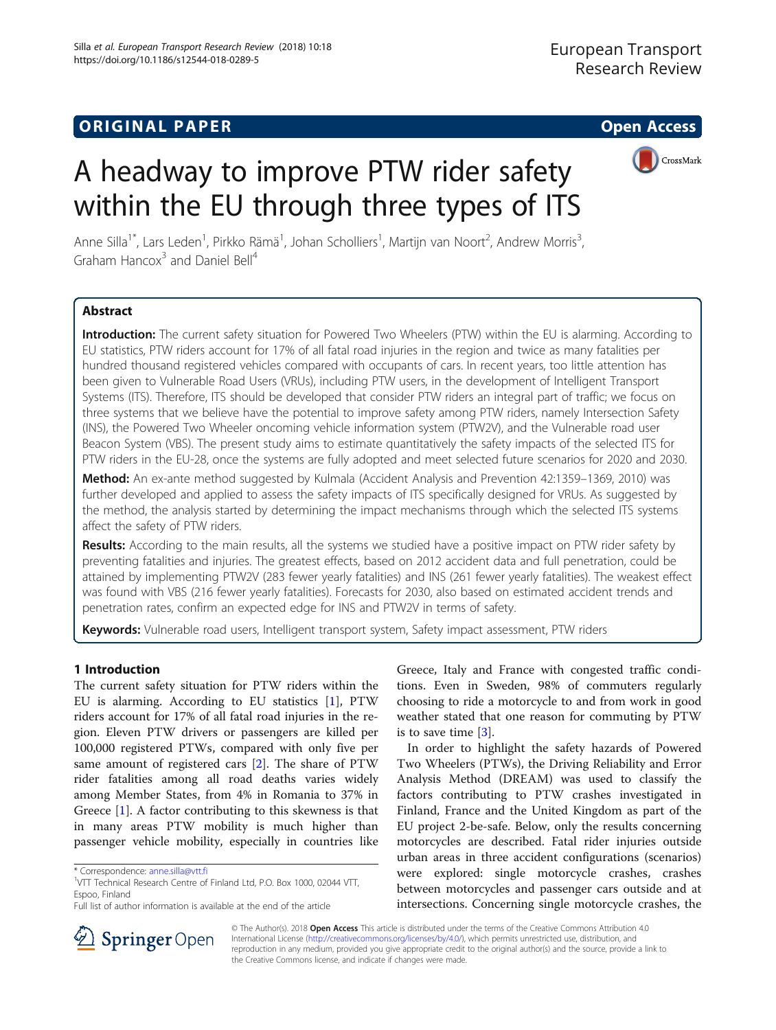## **ORIGINAL PAPER** And the contract of the contract of the contract of the contract of the contract of the contract of the contract of the contract of the contract of the contract of the contract of the contract of the contr



# A headway to improve PTW rider safety within the EU through three types of ITS

Anne Silla<sup>1\*</sup>, Lars Leden<sup>1</sup>, Pirkko Rämä<sup>1</sup>, Johan Scholliers<sup>1</sup>, Martijn van Noort<sup>2</sup>, Andrew Morris<sup>3</sup> , Graham Hancox<sup>3</sup> and Daniel Bell<sup>4</sup>

## Abstract

Introduction: The current safety situation for Powered Two Wheelers (PTW) within the EU is alarming. According to EU statistics, PTW riders account for 17% of all fatal road injuries in the region and twice as many fatalities per hundred thousand registered vehicles compared with occupants of cars. In recent years, too little attention has been given to Vulnerable Road Users (VRUs), including PTW users, in the development of Intelligent Transport Systems (ITS). Therefore, ITS should be developed that consider PTW riders an integral part of traffic; we focus on three systems that we believe have the potential to improve safety among PTW riders, namely Intersection Safety (INS), the Powered Two Wheeler oncoming vehicle information system (PTW2V), and the Vulnerable road user Beacon System (VBS). The present study aims to estimate quantitatively the safety impacts of the selected ITS for PTW riders in the EU-28, once the systems are fully adopted and meet selected future scenarios for 2020 and 2030.

Method: An ex-ante method suggested by Kulmala (Accident Analysis and Prevention 42:1359-1369, 2010) was further developed and applied to assess the safety impacts of ITS specifically designed for VRUs. As suggested by the method, the analysis started by determining the impact mechanisms through which the selected ITS systems affect the safety of PTW riders.

Results: According to the main results, all the systems we studied have a positive impact on PTW rider safety by preventing fatalities and injuries. The greatest effects, based on 2012 accident data and full penetration, could be attained by implementing PTW2V (283 fewer yearly fatalities) and INS (261 fewer yearly fatalities). The weakest effect was found with VBS (216 fewer yearly fatalities). Forecasts for 2030, also based on estimated accident trends and penetration rates, confirm an expected edge for INS and PTW2V in terms of safety.

Keywords: Vulnerable road users, Intelligent transport system, Safety impact assessment, PTW riders

## 1 Introduction

The current safety situation for PTW riders within the EU is alarming. According to EU statistics [[1\]](#page-11-0), PTW riders account for 17% of all fatal road injuries in the region. Eleven PTW drivers or passengers are killed per 100,000 registered PTWs, compared with only five per same amount of registered cars [\[2](#page-11-0)]. The share of PTW rider fatalities among all road deaths varies widely among Member States, from 4% in Romania to 37% in Greece [[1](#page-11-0)]. A factor contributing to this skewness is that in many areas PTW mobility is much higher than passenger vehicle mobility, especially in countries like

Greece, Italy and France with congested traffic conditions. Even in Sweden, 98% of commuters regularly choosing to ride a motorcycle to and from work in good weather stated that one reason for commuting by PTW is to save time  $[3]$  $[3]$  $[3]$ .

In order to highlight the safety hazards of Powered Two Wheelers (PTWs), the Driving Reliability and Error Analysis Method (DREAM) was used to classify the factors contributing to PTW crashes investigated in Finland, France and the United Kingdom as part of the EU project 2-be-safe. Below, only the results concerning motorcycles are described. Fatal rider injuries outside urban areas in three accident configurations (scenarios) were explored: single motorcycle crashes, crashes between motorcycles and passenger cars outside and at intersections. Concerning single motorcycle crashes, the



© The Author(s). 2018 Open Access This article is distributed under the terms of the Creative Commons Attribution 4.0 International License ([http://creativecommons.org/licenses/by/4.0/\)](http://creativecommons.org/licenses/by/4.0/), which permits unrestricted use, distribution, and reproduction in any medium, provided you give appropriate credit to the original author(s) and the source, provide a link to the Creative Commons license, and indicate if changes were made.

<sup>\*</sup> Correspondence: [anne.silla@vtt.fi](mailto:anne.silla@vtt.fi) <sup>1</sup>

VTT Technical Research Centre of Finland Ltd, P.O. Box 1000, 02044 VTT, Espoo, Finland

Full list of author information is available at the end of the article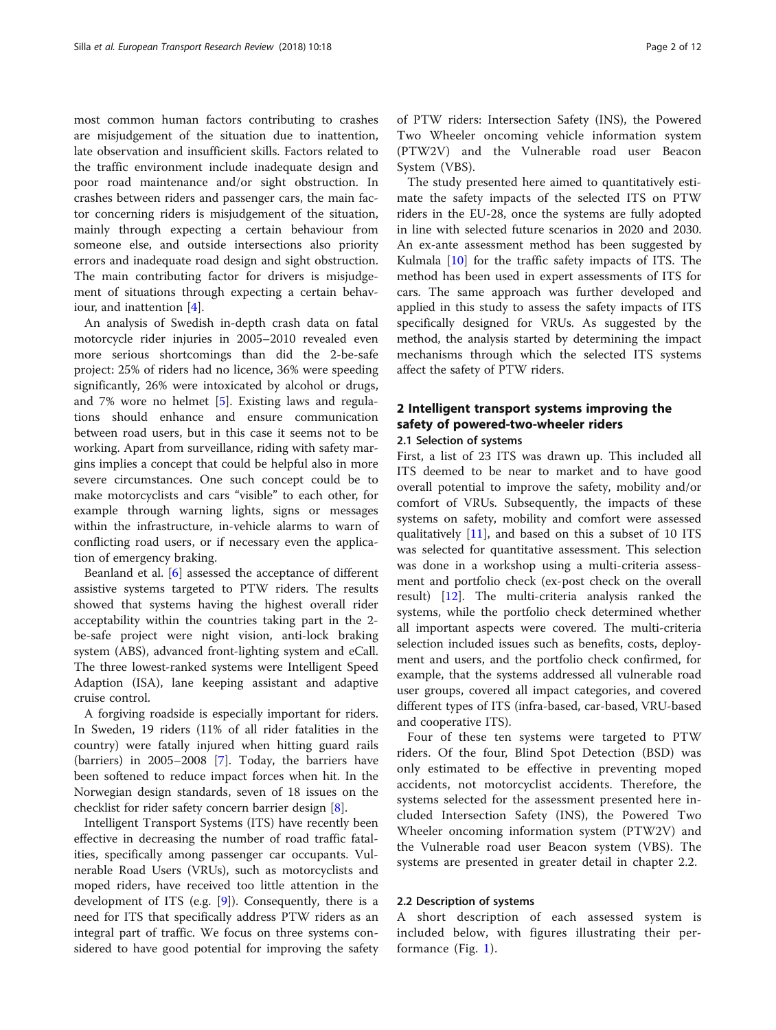most common human factors contributing to crashes are misjudgement of the situation due to inattention, late observation and insufficient skills. Factors related to the traffic environment include inadequate design and poor road maintenance and/or sight obstruction. In crashes between riders and passenger cars, the main factor concerning riders is misjudgement of the situation, mainly through expecting a certain behaviour from someone else, and outside intersections also priority errors and inadequate road design and sight obstruction. The main contributing factor for drivers is misjudgement of situations through expecting a certain behaviour, and inattention [[4\]](#page-11-0).

An analysis of Swedish in-depth crash data on fatal motorcycle rider injuries in 2005–2010 revealed even more serious shortcomings than did the 2-be-safe project: 25% of riders had no licence, 36% were speeding significantly, 26% were intoxicated by alcohol or drugs, and 7% wore no helmet [\[5](#page-11-0)]. Existing laws and regulations should enhance and ensure communication between road users, but in this case it seems not to be working. Apart from surveillance, riding with safety margins implies a concept that could be helpful also in more severe circumstances. One such concept could be to make motorcyclists and cars "visible" to each other, for example through warning lights, signs or messages within the infrastructure, in-vehicle alarms to warn of conflicting road users, or if necessary even the application of emergency braking.

Beanland et al. [\[6](#page-11-0)] assessed the acceptance of different assistive systems targeted to PTW riders. The results showed that systems having the highest overall rider acceptability within the countries taking part in the 2 be-safe project were night vision, anti-lock braking system (ABS), advanced front-lighting system and eCall. The three lowest-ranked systems were Intelligent Speed Adaption (ISA), lane keeping assistant and adaptive cruise control.

A forgiving roadside is especially important for riders. In Sweden, 19 riders (11% of all rider fatalities in the country) were fatally injured when hitting guard rails (barriers) in 2005–2008 [[7](#page-11-0)]. Today, the barriers have been softened to reduce impact forces when hit. In the Norwegian design standards, seven of 18 issues on the checklist for rider safety concern barrier design [[8\]](#page-11-0).

Intelligent Transport Systems (ITS) have recently been effective in decreasing the number of road traffic fatalities, specifically among passenger car occupants. Vulnerable Road Users (VRUs), such as motorcyclists and moped riders, have received too little attention in the development of ITS (e.g. [[9\]](#page-11-0)). Consequently, there is a need for ITS that specifically address PTW riders as an integral part of traffic. We focus on three systems considered to have good potential for improving the safety

of PTW riders: Intersection Safety (INS), the Powered Two Wheeler oncoming vehicle information system (PTW2V) and the Vulnerable road user Beacon System (VBS).

The study presented here aimed to quantitatively estimate the safety impacts of the selected ITS on PTW riders in the EU-28, once the systems are fully adopted in line with selected future scenarios in 2020 and 2030. An ex-ante assessment method has been suggested by Kulmala [\[10](#page-11-0)] for the traffic safety impacts of ITS. The method has been used in expert assessments of ITS for cars. The same approach was further developed and applied in this study to assess the safety impacts of ITS specifically designed for VRUs. As suggested by the method, the analysis started by determining the impact mechanisms through which the selected ITS systems affect the safety of PTW riders.

## 2 Intelligent transport systems improving the safety of powered-two-wheeler riders 2.1 Selection of systems

First, a list of 23 ITS was drawn up. This included all ITS deemed to be near to market and to have good overall potential to improve the safety, mobility and/or comfort of VRUs. Subsequently, the impacts of these systems on safety, mobility and comfort were assessed qualitatively  $[11]$ , and based on this a subset of 10 ITS was selected for quantitative assessment. This selection was done in a workshop using a multi-criteria assessment and portfolio check (ex-post check on the overall result) [[12\]](#page-11-0). The multi-criteria analysis ranked the systems, while the portfolio check determined whether all important aspects were covered. The multi-criteria selection included issues such as benefits, costs, deployment and users, and the portfolio check confirmed, for example, that the systems addressed all vulnerable road user groups, covered all impact categories, and covered different types of ITS (infra-based, car-based, VRU-based and cooperative ITS).

Four of these ten systems were targeted to PTW riders. Of the four, Blind Spot Detection (BSD) was only estimated to be effective in preventing moped accidents, not motorcyclist accidents. Therefore, the systems selected for the assessment presented here included Intersection Safety (INS), the Powered Two Wheeler oncoming information system (PTW2V) and the Vulnerable road user Beacon system (VBS). The systems are presented in greater detail in chapter 2.2.

#### 2.2 Description of systems

A short description of each assessed system is included below, with figures illustrating their performance (Fig. [1](#page-2-0)).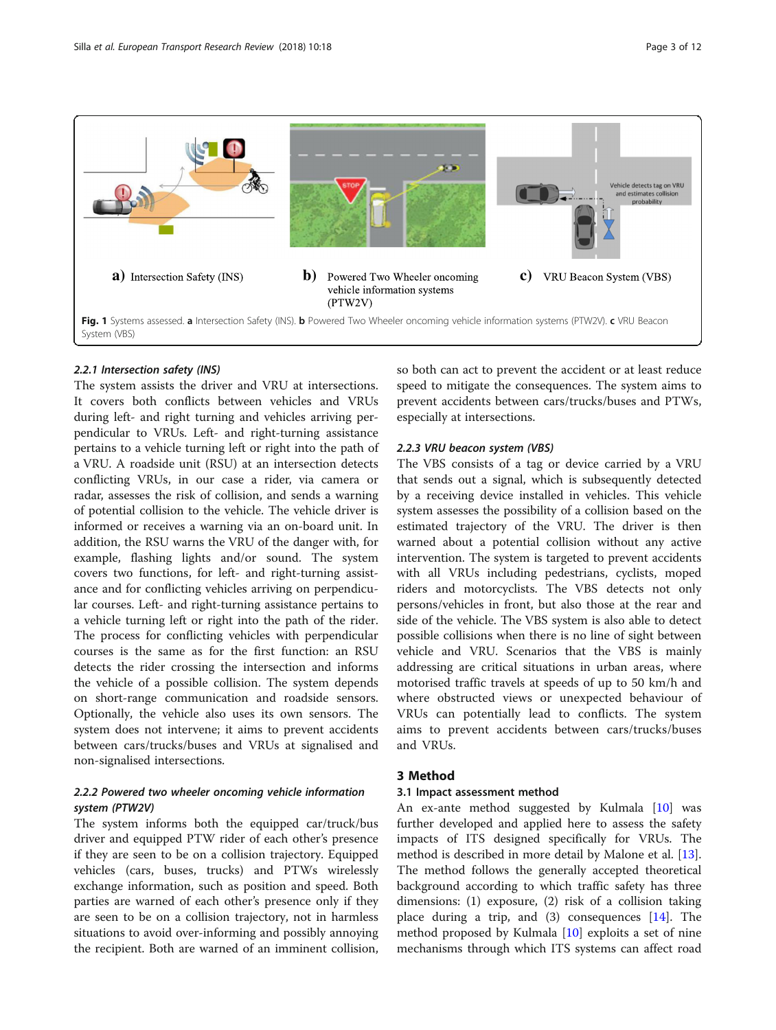<span id="page-2-0"></span>

#### 2.2.1 Intersection safety (INS)

The system assists the driver and VRU at intersections. It covers both conflicts between vehicles and VRUs during left- and right turning and vehicles arriving perpendicular to VRUs. Left- and right-turning assistance pertains to a vehicle turning left or right into the path of a VRU. A roadside unit (RSU) at an intersection detects conflicting VRUs, in our case a rider, via camera or radar, assesses the risk of collision, and sends a warning of potential collision to the vehicle. The vehicle driver is informed or receives a warning via an on-board unit. In addition, the RSU warns the VRU of the danger with, for example, flashing lights and/or sound. The system covers two functions, for left- and right-turning assistance and for conflicting vehicles arriving on perpendicular courses. Left- and right-turning assistance pertains to a vehicle turning left or right into the path of the rider. The process for conflicting vehicles with perpendicular courses is the same as for the first function: an RSU detects the rider crossing the intersection and informs the vehicle of a possible collision. The system depends on short-range communication and roadside sensors. Optionally, the vehicle also uses its own sensors. The system does not intervene; it aims to prevent accidents between cars/trucks/buses and VRUs at signalised and non-signalised intersections.

### 2.2.2 Powered two wheeler oncoming vehicle information system (PTW2V)

The system informs both the equipped car/truck/bus driver and equipped PTW rider of each other's presence if they are seen to be on a collision trajectory. Equipped vehicles (cars, buses, trucks) and PTWs wirelessly exchange information, such as position and speed. Both parties are warned of each other's presence only if they are seen to be on a collision trajectory, not in harmless situations to avoid over-informing and possibly annoying the recipient. Both are warned of an imminent collision, so both can act to prevent the accident or at least reduce speed to mitigate the consequences. The system aims to prevent accidents between cars/trucks/buses and PTWs, especially at intersections.

#### 2.2.3 VRU beacon system (VBS)

The VBS consists of a tag or device carried by a VRU that sends out a signal, which is subsequently detected by a receiving device installed in vehicles. This vehicle system assesses the possibility of a collision based on the estimated trajectory of the VRU. The driver is then warned about a potential collision without any active intervention. The system is targeted to prevent accidents with all VRUs including pedestrians, cyclists, moped riders and motorcyclists. The VBS detects not only persons/vehicles in front, but also those at the rear and side of the vehicle. The VBS system is also able to detect possible collisions when there is no line of sight between vehicle and VRU. Scenarios that the VBS is mainly addressing are critical situations in urban areas, where motorised traffic travels at speeds of up to 50 km/h and where obstructed views or unexpected behaviour of VRUs can potentially lead to conflicts. The system aims to prevent accidents between cars/trucks/buses and VRUs.

## 3 Method

#### 3.1 Impact assessment method

An ex-ante method suggested by Kulmala [[10\]](#page-11-0) was further developed and applied here to assess the safety impacts of ITS designed specifically for VRUs. The method is described in more detail by Malone et al. [\[13](#page-11-0)]. The method follows the generally accepted theoretical background according to which traffic safety has three dimensions: (1) exposure, (2) risk of a collision taking place during a trip, and (3) consequences [\[14](#page-11-0)]. The method proposed by Kulmala [[10](#page-11-0)] exploits a set of nine mechanisms through which ITS systems can affect road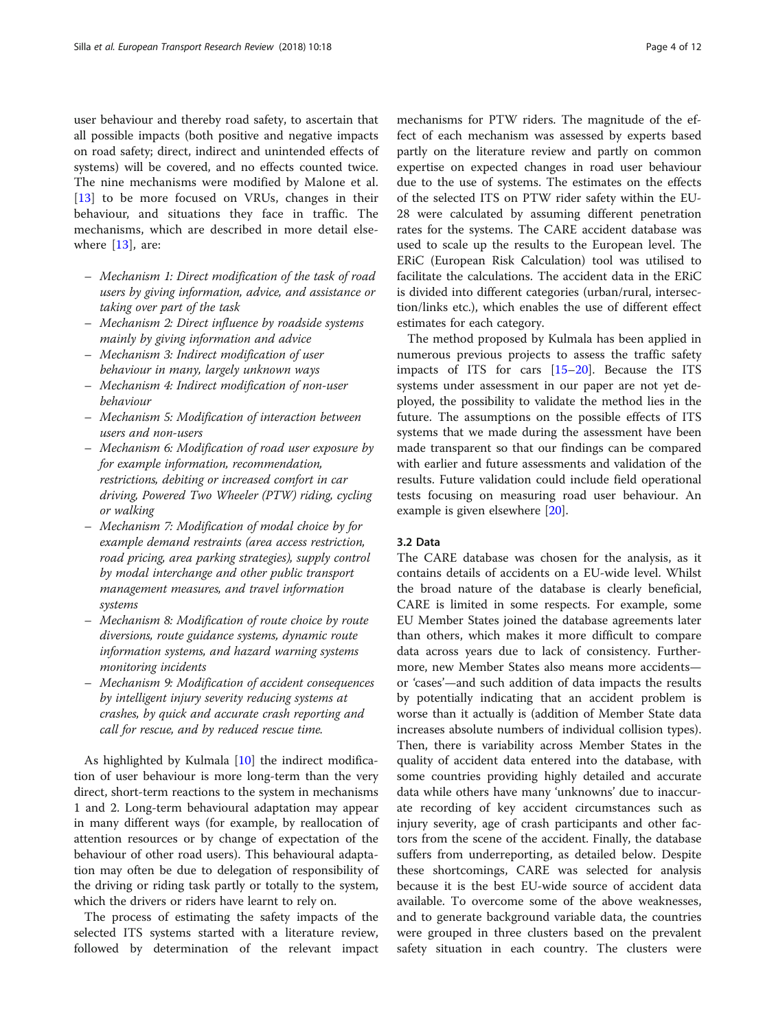user behaviour and thereby road safety, to ascertain that all possible impacts (both positive and negative impacts on road safety; direct, indirect and unintended effects of systems) will be covered, and no effects counted twice. The nine mechanisms were modified by Malone et al. [[13\]](#page-11-0) to be more focused on VRUs, changes in their behaviour, and situations they face in traffic. The mechanisms, which are described in more detail elsewhere  $[13]$  $[13]$ , are:

- Mechanism 1: Direct modification of the task of road users by giving information, advice, and assistance or taking over part of the task
- Mechanism 2: Direct influence by roadside systems mainly by giving information and advice
- Mechanism 3: Indirect modification of user behaviour in many, largely unknown ways
- Mechanism 4: Indirect modification of non-user behaviour
- Mechanism 5: Modification of interaction between users and non-users
- Mechanism 6: Modification of road user exposure by for example information, recommendation, restrictions, debiting or increased comfort in car driving, Powered Two Wheeler (PTW) riding, cycling or walking
- Mechanism 7: Modification of modal choice by for example demand restraints (area access restriction, road pricing, area parking strategies), supply control by modal interchange and other public transport management measures, and travel information systems
- Mechanism 8: Modification of route choice by route diversions, route guidance systems, dynamic route information systems, and hazard warning systems monitoring incidents
- Mechanism 9: Modification of accident consequences by intelligent injury severity reducing systems at crashes, by quick and accurate crash reporting and call for rescue, and by reduced rescue time.

As highlighted by Kulmala [[10\]](#page-11-0) the indirect modification of user behaviour is more long-term than the very direct, short-term reactions to the system in mechanisms 1 and 2. Long-term behavioural adaptation may appear in many different ways (for example, by reallocation of attention resources or by change of expectation of the behaviour of other road users). This behavioural adaptation may often be due to delegation of responsibility of the driving or riding task partly or totally to the system, which the drivers or riders have learnt to rely on.

The process of estimating the safety impacts of the selected ITS systems started with a literature review, followed by determination of the relevant impact

mechanisms for PTW riders. The magnitude of the effect of each mechanism was assessed by experts based partly on the literature review and partly on common expertise on expected changes in road user behaviour due to the use of systems. The estimates on the effects of the selected ITS on PTW rider safety within the EU-28 were calculated by assuming different penetration rates for the systems. The CARE accident database was used to scale up the results to the European level. The ERiC (European Risk Calculation) tool was utilised to facilitate the calculations. The accident data in the ERiC is divided into different categories (urban/rural, intersection/links etc.), which enables the use of different effect estimates for each category.

The method proposed by Kulmala has been applied in numerous previous projects to assess the traffic safety impacts of ITS for cars [[15](#page-11-0)–[20\]](#page-11-0). Because the ITS systems under assessment in our paper are not yet deployed, the possibility to validate the method lies in the future. The assumptions on the possible effects of ITS systems that we made during the assessment have been made transparent so that our findings can be compared with earlier and future assessments and validation of the results. Future validation could include field operational tests focusing on measuring road user behaviour. An example is given elsewhere [\[20](#page-11-0)].

#### 3.2 Data

The CARE database was chosen for the analysis, as it contains details of accidents on a EU-wide level. Whilst the broad nature of the database is clearly beneficial, CARE is limited in some respects. For example, some EU Member States joined the database agreements later than others, which makes it more difficult to compare data across years due to lack of consistency. Furthermore, new Member States also means more accidents or 'cases'—and such addition of data impacts the results by potentially indicating that an accident problem is worse than it actually is (addition of Member State data increases absolute numbers of individual collision types). Then, there is variability across Member States in the quality of accident data entered into the database, with some countries providing highly detailed and accurate data while others have many 'unknowns' due to inaccurate recording of key accident circumstances such as injury severity, age of crash participants and other factors from the scene of the accident. Finally, the database suffers from underreporting, as detailed below. Despite these shortcomings, CARE was selected for analysis because it is the best EU-wide source of accident data available. To overcome some of the above weaknesses, and to generate background variable data, the countries were grouped in three clusters based on the prevalent safety situation in each country. The clusters were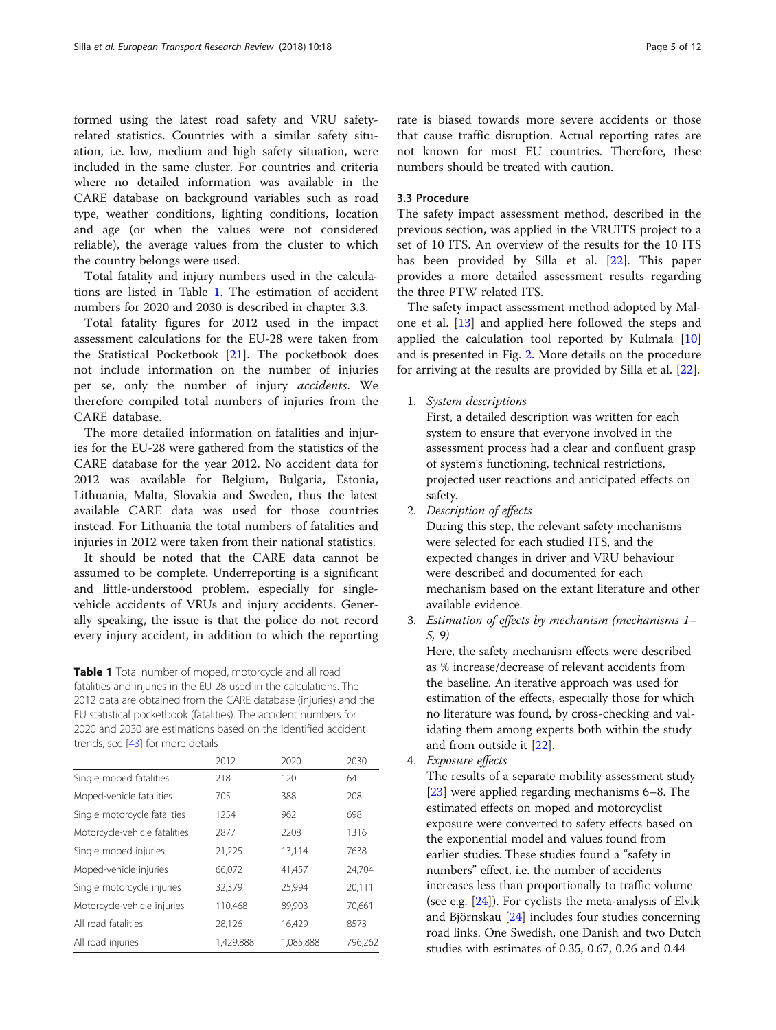formed using the latest road safety and VRU safetyrelated statistics. Countries with a similar safety situation, i.e. low, medium and high safety situation, were included in the same cluster. For countries and criteria where no detailed information was available in the CARE database on background variables such as road type, weather conditions, lighting conditions, location and age (or when the values were not considered reliable), the average values from the cluster to which the country belongs were used.

Total fatality and injury numbers used in the calculations are listed in Table 1. The estimation of accident numbers for 2020 and 2030 is described in chapter 3.3.

Total fatality figures for 2012 used in the impact assessment calculations for the EU-28 were taken from the Statistical Pocketbook [\[21](#page-11-0)]. The pocketbook does not include information on the number of injuries per se, only the number of injury accidents. We therefore compiled total numbers of injuries from the CARE database.

The more detailed information on fatalities and injuries for the EU-28 were gathered from the statistics of the CARE database for the year 2012. No accident data for 2012 was available for Belgium, Bulgaria, Estonia, Lithuania, Malta, Slovakia and Sweden, thus the latest available CARE data was used for those countries instead. For Lithuania the total numbers of fatalities and injuries in 2012 were taken from their national statistics.

It should be noted that the CARE data cannot be assumed to be complete. Underreporting is a significant and little-understood problem, especially for singlevehicle accidents of VRUs and injury accidents. Generally speaking, the issue is that the police do not record every injury accident, in addition to which the reporting

Table 1 Total number of moped, motorcycle and all road fatalities and injuries in the EU-28 used in the calculations. The 2012 data are obtained from the CARE database (injuries) and the EU statistical pocketbook (fatalities). The accident numbers for 2020 and 2030 are estimations based on the identified accident trends, see [[43](#page-11-0)] for more details

|                               | 2012      | 2020      | 2030    |
|-------------------------------|-----------|-----------|---------|
| Single moped fatalities       | 218       | 120       | 64      |
| Moped-vehicle fatalities      | 705       | 388       | 208     |
| Single motorcycle fatalities  | 1254      | 962       | 698     |
| Motorcycle-vehicle fatalities | 2877      | 2208      | 1316    |
| Single moped injuries         | 21,225    | 13,114    | 7638    |
| Moped-vehicle injuries        | 66.072    | 41.457    | 24.704  |
| Single motorcycle injuries    | 32.379    | 25.994    | 20,111  |
| Motorcycle-vehicle injuries   | 110.468   | 89.903    | 70.661  |
| All road fatalities           | 28,126    | 16,429    | 8573    |
| All road injuries             | 1,429,888 | 1,085,888 | 796,262 |

rate is biased towards more severe accidents or those that cause traffic disruption. Actual reporting rates are not known for most EU countries. Therefore, these numbers should be treated with caution.

#### 3.3 Procedure

The safety impact assessment method, described in the previous section, was applied in the VRUITS project to a set of 10 ITS. An overview of the results for the 10 ITS has been provided by Silla et al. [[22](#page-11-0)]. This paper provides a more detailed assessment results regarding the three PTW related ITS.

The safety impact assessment method adopted by Malone et al. [[13\]](#page-11-0) and applied here followed the steps and applied the calculation tool reported by Kulmala [[10](#page-11-0)] and is presented in Fig. [2](#page-5-0). More details on the procedure for arriving at the results are provided by Silla et al. [\[22](#page-11-0)].

1. System descriptions

First, a detailed description was written for each system to ensure that everyone involved in the assessment process had a clear and confluent grasp of system's functioning, technical restrictions, projected user reactions and anticipated effects on safety.

2. Description of effects

During this step, the relevant safety mechanisms were selected for each studied ITS, and the expected changes in driver and VRU behaviour were described and documented for each mechanism based on the extant literature and other available evidence.

3. Estimation of effects by mechanism (mechanisms 1– 5, 9)

Here, the safety mechanism effects were described as % increase/decrease of relevant accidents from the baseline. An iterative approach was used for estimation of the effects, especially those for which no literature was found, by cross-checking and validating them among experts both within the study and from outside it [\[22\]](#page-11-0).

4. Exposure effects

The results of a separate mobility assessment study [[23](#page-11-0)] were applied regarding mechanisms 6–8. The estimated effects on moped and motorcyclist exposure were converted to safety effects based on the exponential model and values found from earlier studies. These studies found a "safety in numbers" effect, i.e. the number of accidents increases less than proportionally to traffic volume (see e.g. [\[24\]](#page-11-0)). For cyclists the meta-analysis of Elvik and Björnskau [\[24\]](#page-11-0) includes four studies concerning road links. One Swedish, one Danish and two Dutch studies with estimates of 0.35, 0.67, 0.26 and 0.44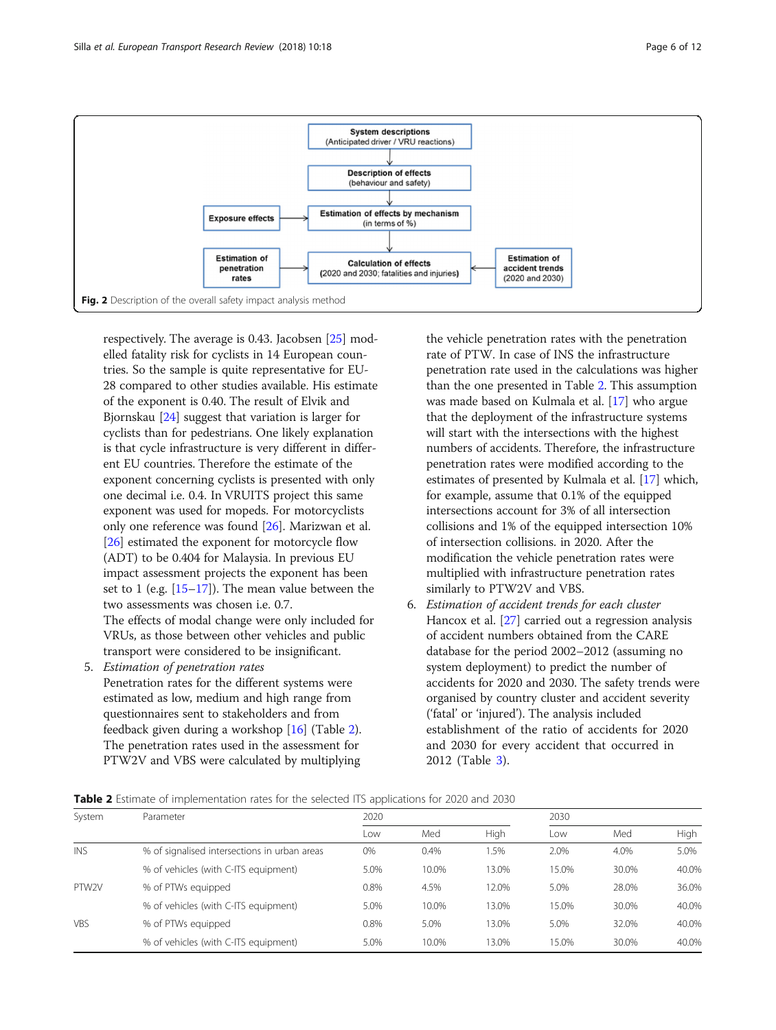<span id="page-5-0"></span>

respectively. The average is 0.43. Jacobsen [\[25\]](#page-11-0) modelled fatality risk for cyclists in 14 European countries. So the sample is quite representative for EU-28 compared to other studies available. His estimate of the exponent is 0.40. The result of Elvik and Bjornskau [\[24\]](#page-11-0) suggest that variation is larger for cyclists than for pedestrians. One likely explanation is that cycle infrastructure is very different in different EU countries. Therefore the estimate of the exponent concerning cyclists is presented with only one decimal i.e. 0.4. In VRUITS project this same exponent was used for mopeds. For motorcyclists only one reference was found [\[26\]](#page-11-0). Marizwan et al. [\[26](#page-11-0)] estimated the exponent for motorcycle flow (ADT) to be 0.404 for Malaysia. In previous EU impact assessment projects the exponent has been set to 1 (e.g.  $[15-17]$  $[15-17]$  $[15-17]$  $[15-17]$ ). The mean value between the two assessments was chosen i.e. 0.7. The effects of modal change were only included for VRUs, as those between other vehicles and public transport were considered to be insignificant. 5. Estimation of penetration rates

Penetration rates for the different systems were estimated as low, medium and high range from questionnaires sent to stakeholders and from feedback given during a workshop [\[16\]](#page-11-0) (Table 2). The penetration rates used in the assessment for PTW2V and VBS were calculated by multiplying

the vehicle penetration rates with the penetration rate of PTW. In case of INS the infrastructure penetration rate used in the calculations was higher than the one presented in Table 2. This assumption was made based on Kulmala et al. [\[17\]](#page-11-0) who argue that the deployment of the infrastructure systems will start with the intersections with the highest numbers of accidents. Therefore, the infrastructure penetration rates were modified according to the estimates of presented by Kulmala et al. [[17\]](#page-11-0) which, for example, assume that 0.1% of the equipped intersections account for 3% of all intersection collisions and 1% of the equipped intersection 10% of intersection collisions. in 2020. After the modification the vehicle penetration rates were multiplied with infrastructure penetration rates similarly to PTW2V and VBS.

6. Estimation of accident trends for each cluster Hancox et al. [[27\]](#page-11-0) carried out a regression analysis of accident numbers obtained from the CARE database for the period 2002–2012 (assuming no system deployment) to predict the number of accidents for 2020 and 2030. The safety trends were organised by country cluster and accident severity ('fatal' or 'injured'). The analysis included establishment of the ratio of accidents for 2020 and 2030 for every accident that occurred in 2012 (Table [3\)](#page-6-0).

#### Table 2 Estimate of implementation rates for the selected ITS applications for 2020 and 2030

| System     | Parameter                                    | 2020 |       |       |       | 2030  |       |  |
|------------|----------------------------------------------|------|-------|-------|-------|-------|-------|--|
|            |                                              | Low  | Med   | High  | Low   | Med   | High  |  |
| <b>INS</b> | % of signalised intersections in urban areas | 0%   | 0.4%  | .5%   | 2.0%  | 4.0%  | 5.0%  |  |
|            | % of vehicles (with C-ITS equipment)         | 5.0% | 10.0% | 13.0% | 15.0% | 30.0% | 40.0% |  |
| PTW2V      | % of PTWs equipped                           | 0.8% | 4.5%  | 12.0% | 5.0%  | 28.0% | 36.0% |  |
|            | % of vehicles (with C-ITS equipment)         | 5.0% | 10.0% | 13.0% | 15.0% | 30.0% | 40.0% |  |
| <b>VBS</b> | % of PTWs equipped                           | 0.8% | 5.0%  | 13.0% | 5.0%  | 32.0% | 40.0% |  |
|            | % of vehicles (with C-ITS equipment)         | 5.0% | 10.0% | 13.0% | 15.0% | 30.0% | 40.0% |  |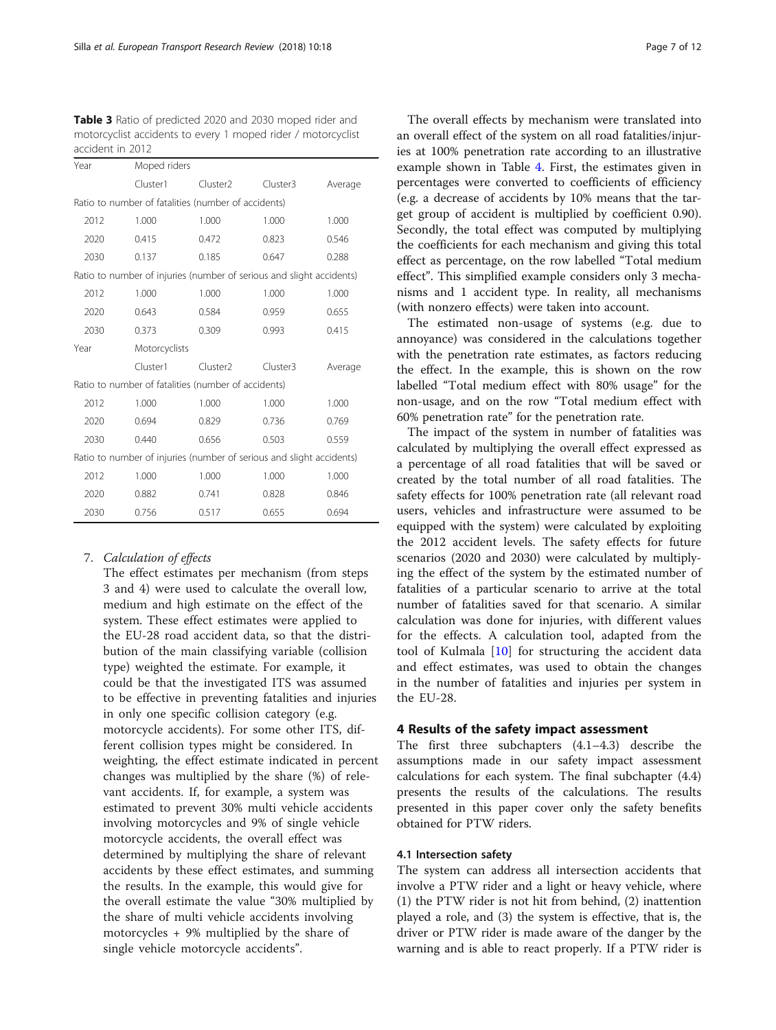<span id="page-6-0"></span>Table 3 Ratio of predicted 2020 and 2030 moped rider and motorcyclist accidents to every 1 moped rider / motorcyclist accident in 2012

| Year                                                                 | Moped riders                                                         |                      |                      |         |  |
|----------------------------------------------------------------------|----------------------------------------------------------------------|----------------------|----------------------|---------|--|
|                                                                      | Cluster1                                                             | Cluster <sub>2</sub> | Cluster <sub>3</sub> | Average |  |
|                                                                      | Ratio to number of fatalities (number of accidents)                  |                      |                      |         |  |
| 2012                                                                 | 1.000                                                                | 1.000                | 1.000                | 1.000   |  |
| 2020                                                                 | 0.415                                                                | 0.472                | 0.823                | 0.546   |  |
| 2030                                                                 | 0.137                                                                | 0.185                | 0.647                | 0.288   |  |
|                                                                      | Ratio to number of injuries (number of serious and slight accidents) |                      |                      |         |  |
| 2012                                                                 | 1.000                                                                | 1.000                | 1.000                | 1.000   |  |
| 2020                                                                 | 0.643                                                                | 0.584                | 0.959                | 0.655   |  |
| 2030                                                                 | 0.373                                                                | 0.309                | 0.993                | 0.415   |  |
| Year                                                                 | Motorcyclists                                                        |                      |                      |         |  |
|                                                                      | Cluster1                                                             | Cluster <sub>2</sub> | Cluster <sub>3</sub> | Average |  |
| Ratio to number of fatalities (number of accidents)                  |                                                                      |                      |                      |         |  |
| 2012                                                                 | 1.000                                                                | 1.000                | 1.000                | 1.000   |  |
| 2020                                                                 | 0.694                                                                | 0.829                | 0.736                | 0.769   |  |
| 2030                                                                 | 0.440                                                                | 0.656                | 0.503                | 0.559   |  |
| Ratio to number of injuries (number of serious and slight accidents) |                                                                      |                      |                      |         |  |
| 2012                                                                 | 1.000                                                                | 1.000                | 1.000                | 1.000   |  |
| 2020                                                                 | 0.882                                                                | 0.741                | 0.828                | 0.846   |  |
| 2030                                                                 | 0.756                                                                | 0.517                | 0.655                | 0.694   |  |

#### 7. Calculation of effects

The effect estimates per mechanism (from steps 3 and 4) were used to calculate the overall low, medium and high estimate on the effect of the system. These effect estimates were applied to the EU-28 road accident data, so that the distribution of the main classifying variable (collision type) weighted the estimate. For example, it could be that the investigated ITS was assumed to be effective in preventing fatalities and injuries in only one specific collision category (e.g. motorcycle accidents). For some other ITS, different collision types might be considered. In weighting, the effect estimate indicated in percent changes was multiplied by the share (%) of relevant accidents. If, for example, a system was estimated to prevent 30% multi vehicle accidents involving motorcycles and 9% of single vehicle motorcycle accidents, the overall effect was determined by multiplying the share of relevant accidents by these effect estimates, and summing the results. In the example, this would give for the overall estimate the value "30% multiplied by the share of multi vehicle accidents involving motorcycles + 9% multiplied by the share of single vehicle motorcycle accidents".

The overall effects by mechanism were translated into an overall effect of the system on all road fatalities/injuries at 100% penetration rate according to an illustrative example shown in Table [4.](#page-7-0) First, the estimates given in percentages were converted to coefficients of efficiency (e.g. a decrease of accidents by 10% means that the target group of accident is multiplied by coefficient 0.90). Secondly, the total effect was computed by multiplying the coefficients for each mechanism and giving this total effect as percentage, on the row labelled "Total medium effect". This simplified example considers only 3 mechanisms and 1 accident type. In reality, all mechanisms (with nonzero effects) were taken into account.

The estimated non-usage of systems (e.g. due to annoyance) was considered in the calculations together with the penetration rate estimates, as factors reducing the effect. In the example, this is shown on the row labelled "Total medium effect with 80% usage" for the non-usage, and on the row "Total medium effect with 60% penetration rate" for the penetration rate.

The impact of the system in number of fatalities was calculated by multiplying the overall effect expressed as a percentage of all road fatalities that will be saved or created by the total number of all road fatalities. The safety effects for 100% penetration rate (all relevant road users, vehicles and infrastructure were assumed to be equipped with the system) were calculated by exploiting the 2012 accident levels. The safety effects for future scenarios (2020 and 2030) were calculated by multiplying the effect of the system by the estimated number of fatalities of a particular scenario to arrive at the total number of fatalities saved for that scenario. A similar calculation was done for injuries, with different values for the effects. A calculation tool, adapted from the tool of Kulmala [[10](#page-11-0)] for structuring the accident data and effect estimates, was used to obtain the changes in the number of fatalities and injuries per system in the EU-28.

#### 4 Results of the safety impact assessment

The first three subchapters (4.1–4.3) describe the assumptions made in our safety impact assessment calculations for each system. The final subchapter (4.4) presents the results of the calculations. The results presented in this paper cover only the safety benefits obtained for PTW riders.

#### 4.1 Intersection safety

The system can address all intersection accidents that involve a PTW rider and a light or heavy vehicle, where (1) the PTW rider is not hit from behind, (2) inattention played a role, and (3) the system is effective, that is, the driver or PTW rider is made aware of the danger by the warning and is able to react properly. If a PTW rider is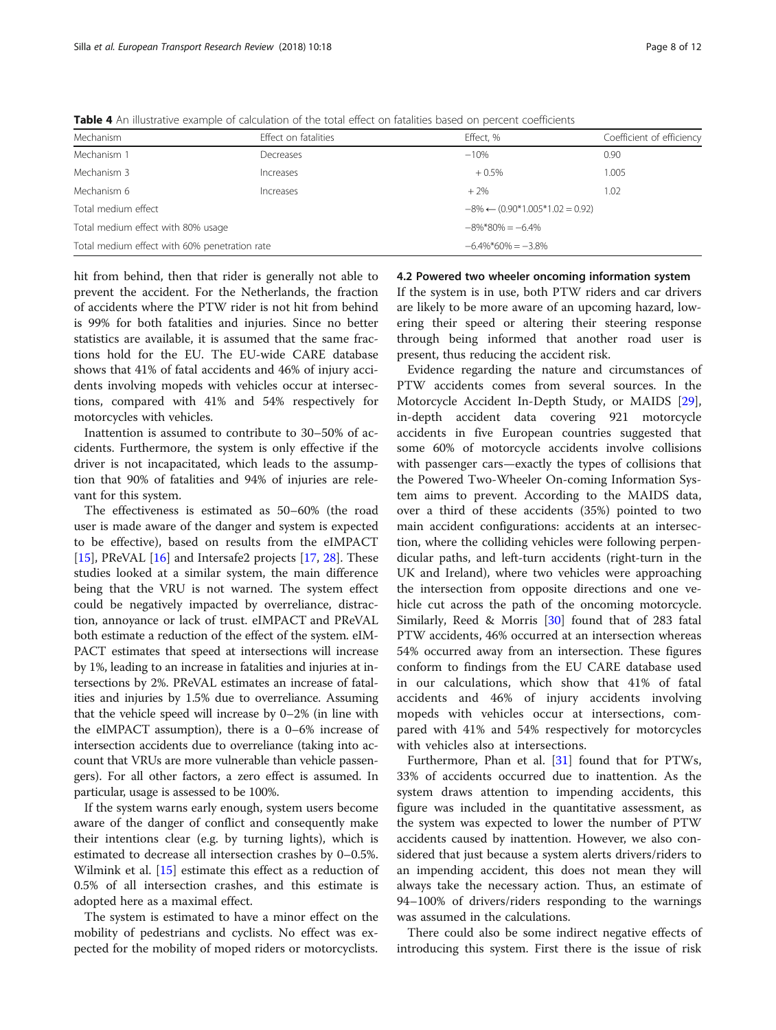| Mechanism                                     | Effect on fatalities           | Effect. %                                  | Coefficient of efficiency |  |
|-----------------------------------------------|--------------------------------|--------------------------------------------|---------------------------|--|
| Mechanism 1                                   | <b>Decreases</b>               | $-10%$                                     | 0.90                      |  |
| Mechanism 3                                   | <i><u><b>Increases</b></u></i> | $+0.5%$                                    | 1.005                     |  |
| Mechanism 6                                   | <i><u><b>Increases</b></u></i> | $+2%$                                      | 1.02                      |  |
| Total medium effect                           |                                | $-8\% \leftarrow (0.90*1.005*1.02 = 0.92)$ |                           |  |
| Total medium effect with 80% usage            |                                | $-8\%*80\% = -6.4\%$                       |                           |  |
| Total medium effect with 60% penetration rate |                                | $-6.4\%*60\% = -3.8\%$                     |                           |  |

<span id="page-7-0"></span>Table 4 An illustrative example of calculation of the total effect on fatalities based on percent coefficients

hit from behind, then that rider is generally not able to prevent the accident. For the Netherlands, the fraction of accidents where the PTW rider is not hit from behind is 99% for both fatalities and injuries. Since no better statistics are available, it is assumed that the same fractions hold for the EU. The EU-wide CARE database shows that 41% of fatal accidents and 46% of injury accidents involving mopeds with vehicles occur at intersections, compared with 41% and 54% respectively for motorcycles with vehicles.

Inattention is assumed to contribute to 30–50% of accidents. Furthermore, the system is only effective if the driver is not incapacitated, which leads to the assumption that 90% of fatalities and 94% of injuries are relevant for this system.

The effectiveness is estimated as 50–60% (the road user is made aware of the danger and system is expected to be effective), based on results from the eIMPACT [[15\]](#page-11-0), PReVAL  $[16]$  $[16]$  and Intersafe2 projects  $[17, 28]$  $[17, 28]$  $[17, 28]$  $[17, 28]$ . These studies looked at a similar system, the main difference being that the VRU is not warned. The system effect could be negatively impacted by overreliance, distraction, annoyance or lack of trust. eIMPACT and PReVAL both estimate a reduction of the effect of the system. eIM-PACT estimates that speed at intersections will increase by 1%, leading to an increase in fatalities and injuries at intersections by 2%. PReVAL estimates an increase of fatalities and injuries by 1.5% due to overreliance. Assuming that the vehicle speed will increase by 0–2% (in line with the eIMPACT assumption), there is a 0–6% increase of intersection accidents due to overreliance (taking into account that VRUs are more vulnerable than vehicle passengers). For all other factors, a zero effect is assumed. In particular, usage is assessed to be 100%.

If the system warns early enough, system users become aware of the danger of conflict and consequently make their intentions clear (e.g. by turning lights), which is estimated to decrease all intersection crashes by 0–0.5%. Wilmink et al. [[15\]](#page-11-0) estimate this effect as a reduction of 0.5% of all intersection crashes, and this estimate is adopted here as a maximal effect.

The system is estimated to have a minor effect on the mobility of pedestrians and cyclists. No effect was expected for the mobility of moped riders or motorcyclists. 4.2 Powered two wheeler oncoming information system If the system is in use, both PTW riders and car drivers are likely to be more aware of an upcoming hazard, lowering their speed or altering their steering response through being informed that another road user is present, thus reducing the accident risk.

Evidence regarding the nature and circumstances of PTW accidents comes from several sources. In the Motorcycle Accident In-Depth Study, or MAIDS [\[29](#page-11-0)], in-depth accident data covering 921 motorcycle accidents in five European countries suggested that some 60% of motorcycle accidents involve collisions with passenger cars—exactly the types of collisions that the Powered Two-Wheeler On-coming Information System aims to prevent. According to the MAIDS data, over a third of these accidents (35%) pointed to two main accident configurations: accidents at an intersection, where the colliding vehicles were following perpendicular paths, and left-turn accidents (right-turn in the UK and Ireland), where two vehicles were approaching the intersection from opposite directions and one vehicle cut across the path of the oncoming motorcycle. Similarly, Reed & Morris [[30\]](#page-11-0) found that of 283 fatal PTW accidents, 46% occurred at an intersection whereas 54% occurred away from an intersection. These figures conform to findings from the EU CARE database used in our calculations, which show that 41% of fatal accidents and 46% of injury accidents involving mopeds with vehicles occur at intersections, compared with 41% and 54% respectively for motorcycles with vehicles also at intersections.

Furthermore, Phan et al. [[31](#page-11-0)] found that for PTWs, 33% of accidents occurred due to inattention. As the system draws attention to impending accidents, this figure was included in the quantitative assessment, as the system was expected to lower the number of PTW accidents caused by inattention. However, we also considered that just because a system alerts drivers/riders to an impending accident, this does not mean they will always take the necessary action. Thus, an estimate of 94–100% of drivers/riders responding to the warnings was assumed in the calculations.

There could also be some indirect negative effects of introducing this system. First there is the issue of risk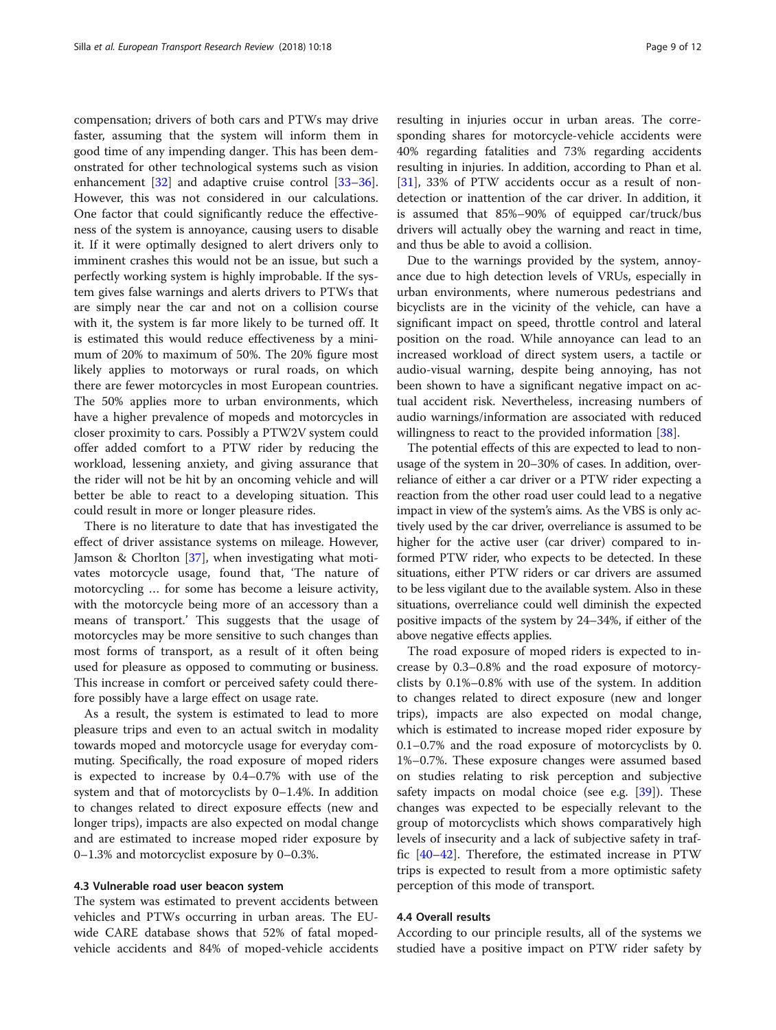compensation; drivers of both cars and PTWs may drive faster, assuming that the system will inform them in good time of any impending danger. This has been demonstrated for other technological systems such as vision enhancement [\[32\]](#page-11-0) and adaptive cruise control [[33](#page-11-0)–[36](#page-11-0)]. However, this was not considered in our calculations. One factor that could significantly reduce the effectiveness of the system is annoyance, causing users to disable it. If it were optimally designed to alert drivers only to imminent crashes this would not be an issue, but such a perfectly working system is highly improbable. If the system gives false warnings and alerts drivers to PTWs that are simply near the car and not on a collision course with it, the system is far more likely to be turned off. It is estimated this would reduce effectiveness by a minimum of 20% to maximum of 50%. The 20% figure most likely applies to motorways or rural roads, on which there are fewer motorcycles in most European countries. The 50% applies more to urban environments, which have a higher prevalence of mopeds and motorcycles in closer proximity to cars. Possibly a PTW2V system could offer added comfort to a PTW rider by reducing the workload, lessening anxiety, and giving assurance that the rider will not be hit by an oncoming vehicle and will better be able to react to a developing situation. This could result in more or longer pleasure rides.

There is no literature to date that has investigated the effect of driver assistance systems on mileage. However, Jamson & Chorlton [[37\]](#page-11-0), when investigating what motivates motorcycle usage, found that, 'The nature of motorcycling … for some has become a leisure activity, with the motorcycle being more of an accessory than a means of transport.' This suggests that the usage of motorcycles may be more sensitive to such changes than most forms of transport, as a result of it often being used for pleasure as opposed to commuting or business. This increase in comfort or perceived safety could therefore possibly have a large effect on usage rate.

As a result, the system is estimated to lead to more pleasure trips and even to an actual switch in modality towards moped and motorcycle usage for everyday commuting. Specifically, the road exposure of moped riders is expected to increase by 0.4–0.7% with use of the system and that of motorcyclists by 0–1.4%. In addition to changes related to direct exposure effects (new and longer trips), impacts are also expected on modal change and are estimated to increase moped rider exposure by 0–1.3% and motorcyclist exposure by 0–0.3%.

#### 4.3 Vulnerable road user beacon system

The system was estimated to prevent accidents between vehicles and PTWs occurring in urban areas. The EUwide CARE database shows that 52% of fatal mopedvehicle accidents and 84% of moped-vehicle accidents

resulting in injuries occur in urban areas. The corresponding shares for motorcycle-vehicle accidents were 40% regarding fatalities and 73% regarding accidents resulting in injuries. In addition, according to Phan et al. [[31\]](#page-11-0), 33% of PTW accidents occur as a result of nondetection or inattention of the car driver. In addition, it is assumed that 85%–90% of equipped car/truck/bus drivers will actually obey the warning and react in time, and thus be able to avoid a collision.

Due to the warnings provided by the system, annoyance due to high detection levels of VRUs, especially in urban environments, where numerous pedestrians and bicyclists are in the vicinity of the vehicle, can have a significant impact on speed, throttle control and lateral position on the road. While annoyance can lead to an increased workload of direct system users, a tactile or audio-visual warning, despite being annoying, has not been shown to have a significant negative impact on actual accident risk. Nevertheless, increasing numbers of audio warnings/information are associated with reduced willingness to react to the provided information [[38\]](#page-11-0).

The potential effects of this are expected to lead to nonusage of the system in 20–30% of cases. In addition, overreliance of either a car driver or a PTW rider expecting a reaction from the other road user could lead to a negative impact in view of the system's aims. As the VBS is only actively used by the car driver, overreliance is assumed to be higher for the active user (car driver) compared to informed PTW rider, who expects to be detected. In these situations, either PTW riders or car drivers are assumed to be less vigilant due to the available system. Also in these situations, overreliance could well diminish the expected positive impacts of the system by 24–34%, if either of the above negative effects applies.

The road exposure of moped riders is expected to increase by 0.3–0.8% and the road exposure of motorcyclists by 0.1%–0.8% with use of the system. In addition to changes related to direct exposure (new and longer trips), impacts are also expected on modal change, which is estimated to increase moped rider exposure by 0.1–0.7% and the road exposure of motorcyclists by 0. 1%–0.7%. These exposure changes were assumed based on studies relating to risk perception and subjective safety impacts on modal choice (see e.g.  $[39]$  $[39]$ ). These changes was expected to be especially relevant to the group of motorcyclists which shows comparatively high levels of insecurity and a lack of subjective safety in traffic [\[40](#page-11-0)–[42\]](#page-11-0). Therefore, the estimated increase in PTW trips is expected to result from a more optimistic safety perception of this mode of transport.

#### 4.4 Overall results

According to our principle results, all of the systems we studied have a positive impact on PTW rider safety by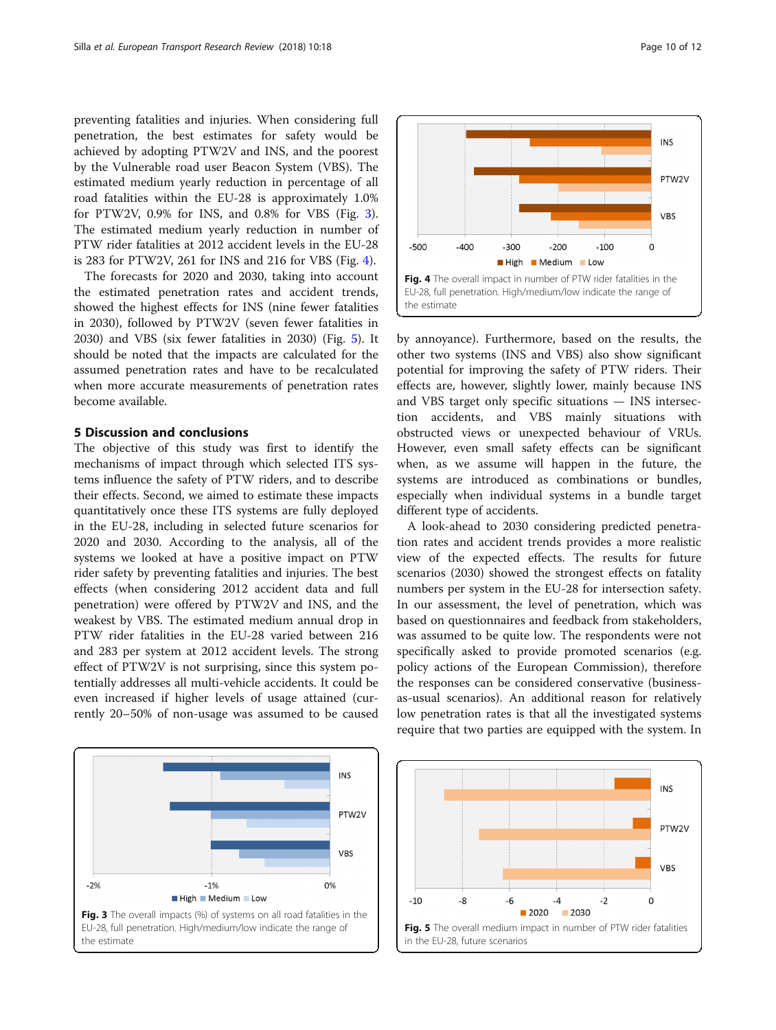preventing fatalities and injuries. When considering full penetration, the best estimates for safety would be achieved by adopting PTW2V and INS, and the poorest by the Vulnerable road user Beacon System (VBS). The estimated medium yearly reduction in percentage of all road fatalities within the EU-28 is approximately 1.0% for PTW2V, 0.9% for INS, and 0.8% for VBS (Fig. 3). The estimated medium yearly reduction in number of PTW rider fatalities at 2012 accident levels in the EU-28 is 283 for PTW2V, 261 for INS and 216 for VBS (Fig. 4).

The forecasts for 2020 and 2030, taking into account the estimated penetration rates and accident trends, showed the highest effects for INS (nine fewer fatalities in 2030), followed by PTW2V (seven fewer fatalities in 2030) and VBS (six fewer fatalities in 2030) (Fig. 5). It should be noted that the impacts are calculated for the assumed penetration rates and have to be recalculated when more accurate measurements of penetration rates become available.

### 5 Discussion and conclusions

The objective of this study was first to identify the mechanisms of impact through which selected ITS systems influence the safety of PTW riders, and to describe their effects. Second, we aimed to estimate these impacts quantitatively once these ITS systems are fully deployed in the EU-28, including in selected future scenarios for 2020 and 2030. According to the analysis, all of the systems we looked at have a positive impact on PTW rider safety by preventing fatalities and injuries. The best effects (when considering 2012 accident data and full penetration) were offered by PTW2V and INS, and the weakest by VBS. The estimated medium annual drop in PTW rider fatalities in the EU-28 varied between 216 and 283 per system at 2012 accident levels. The strong effect of PTW2V is not surprising, since this system potentially addresses all multi-vehicle accidents. It could be even increased if higher levels of usage attained (currently 20–50% of non-usage was assumed to be caused





by annoyance). Furthermore, based on the results, the other two systems (INS and VBS) also show significant potential for improving the safety of PTW riders. Their effects are, however, slightly lower, mainly because INS and VBS target only specific situations — INS intersection accidents, and VBS mainly situations with obstructed views or unexpected behaviour of VRUs. However, even small safety effects can be significant when, as we assume will happen in the future, the systems are introduced as combinations or bundles, especially when individual systems in a bundle target different type of accidents.

A look-ahead to 2030 considering predicted penetration rates and accident trends provides a more realistic view of the expected effects. The results for future scenarios (2030) showed the strongest effects on fatality numbers per system in the EU-28 for intersection safety. In our assessment, the level of penetration, which was based on questionnaires and feedback from stakeholders, was assumed to be quite low. The respondents were not specifically asked to provide promoted scenarios (e.g. policy actions of the European Commission), therefore the responses can be considered conservative (businessas-usual scenarios). An additional reason for relatively low penetration rates is that all the investigated systems require that two parties are equipped with the system. In

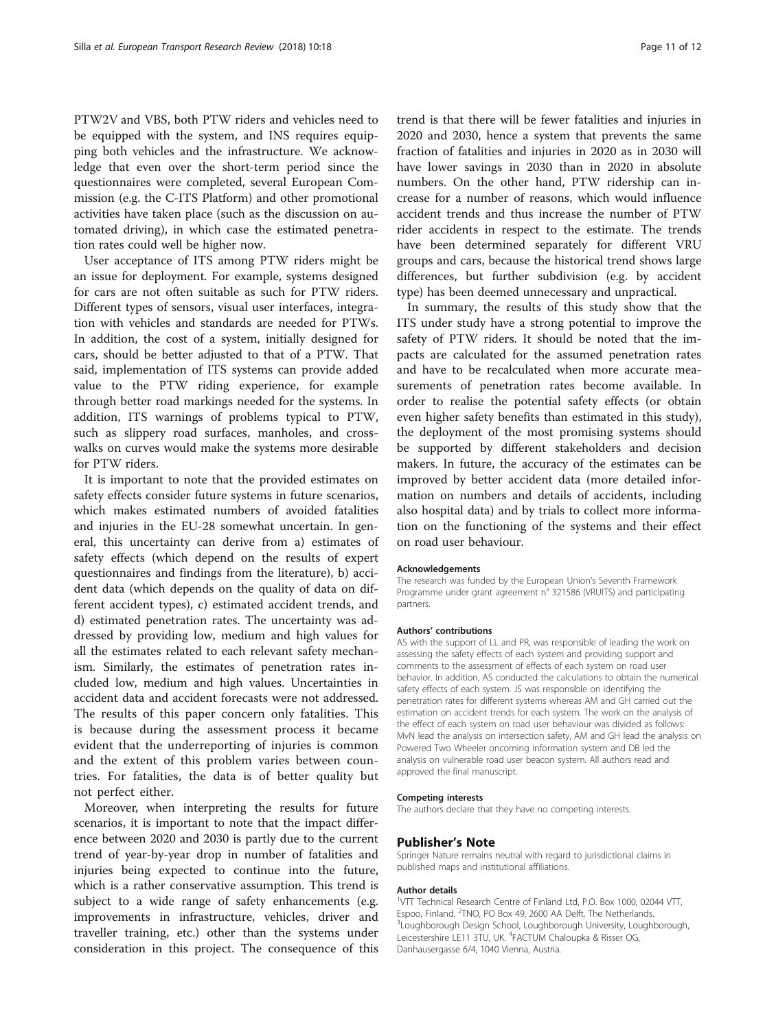PTW2V and VBS, both PTW riders and vehicles need to be equipped with the system, and INS requires equipping both vehicles and the infrastructure. We acknowledge that even over the short-term period since the questionnaires were completed, several European Commission (e.g. the C-ITS Platform) and other promotional activities have taken place (such as the discussion on automated driving), in which case the estimated penetration rates could well be higher now.

User acceptance of ITS among PTW riders might be an issue for deployment. For example, systems designed for cars are not often suitable as such for PTW riders. Different types of sensors, visual user interfaces, integration with vehicles and standards are needed for PTWs. In addition, the cost of a system, initially designed for cars, should be better adjusted to that of a PTW. That said, implementation of ITS systems can provide added value to the PTW riding experience, for example through better road markings needed for the systems. In addition, ITS warnings of problems typical to PTW, such as slippery road surfaces, manholes, and crosswalks on curves would make the systems more desirable for PTW riders.

It is important to note that the provided estimates on safety effects consider future systems in future scenarios, which makes estimated numbers of avoided fatalities and injuries in the EU-28 somewhat uncertain. In general, this uncertainty can derive from a) estimates of safety effects (which depend on the results of expert questionnaires and findings from the literature), b) accident data (which depends on the quality of data on different accident types), c) estimated accident trends, and d) estimated penetration rates. The uncertainty was addressed by providing low, medium and high values for all the estimates related to each relevant safety mechanism. Similarly, the estimates of penetration rates included low, medium and high values. Uncertainties in accident data and accident forecasts were not addressed. The results of this paper concern only fatalities. This is because during the assessment process it became evident that the underreporting of injuries is common and the extent of this problem varies between countries. For fatalities, the data is of better quality but not perfect either.

Moreover, when interpreting the results for future scenarios, it is important to note that the impact difference between 2020 and 2030 is partly due to the current trend of year-by-year drop in number of fatalities and injuries being expected to continue into the future, which is a rather conservative assumption. This trend is subject to a wide range of safety enhancements (e.g. improvements in infrastructure, vehicles, driver and traveller training, etc.) other than the systems under consideration in this project. The consequence of this

trend is that there will be fewer fatalities and injuries in 2020 and 2030, hence a system that prevents the same fraction of fatalities and injuries in 2020 as in 2030 will have lower savings in 2030 than in 2020 in absolute numbers. On the other hand, PTW ridership can increase for a number of reasons, which would influence accident trends and thus increase the number of PTW rider accidents in respect to the estimate. The trends have been determined separately for different VRU groups and cars, because the historical trend shows large differences, but further subdivision (e.g. by accident type) has been deemed unnecessary and unpractical.

In summary, the results of this study show that the ITS under study have a strong potential to improve the safety of PTW riders. It should be noted that the impacts are calculated for the assumed penetration rates and have to be recalculated when more accurate measurements of penetration rates become available. In order to realise the potential safety effects (or obtain even higher safety benefits than estimated in this study), the deployment of the most promising systems should be supported by different stakeholders and decision makers. In future, the accuracy of the estimates can be improved by better accident data (more detailed information on numbers and details of accidents, including also hospital data) and by trials to collect more information on the functioning of the systems and their effect on road user behaviour.

#### Acknowledgements

The research was funded by the European Union's Seventh Framework Programme under grant agreement n° 321586 (VRUITS) and participating partners.

#### Authors' contributions

AS with the support of LL and PR, was responsible of leading the work on assessing the safety effects of each system and providing support and comments to the assessment of effects of each system on road user behavior. In addition, AS conducted the calculations to obtain the numerical safety effects of each system. JS was responsible on identifying the penetration rates for different systems whereas AM and GH carried out the estimation on accident trends for each system. The work on the analysis of the effect of each system on road user behaviour was divided as follows: MvN lead the analysis on intersection safety, AM and GH lead the analysis on Powered Two Wheeler oncoming information system and DB led the analysis on vulnerable road user beacon system. All authors read and approved the final manuscript.

#### Competing interests

The authors declare that they have no competing interests.

#### Publisher's Note

Springer Nature remains neutral with regard to jurisdictional claims in published maps and institutional affiliations.

#### Author details

<sup>1</sup>VTT Technical Research Centre of Finland Ltd, P.O. Box 1000, 02044 VTT Espoo, Finland. <sup>2</sup>TNO, PO Box 49, 2600 AA Delft, The Netherlands.<br><sup>3</sup>Loughborough Decian School, Loughborough University Lough Loughborough Design School, Loughborough University, Loughborough, Leicestershire LE11 3TU, UK. <sup>4</sup>FACTUM Chaloupka & Risser OG, Danhausergasse 6/4, 1040 Vienna, Austria.